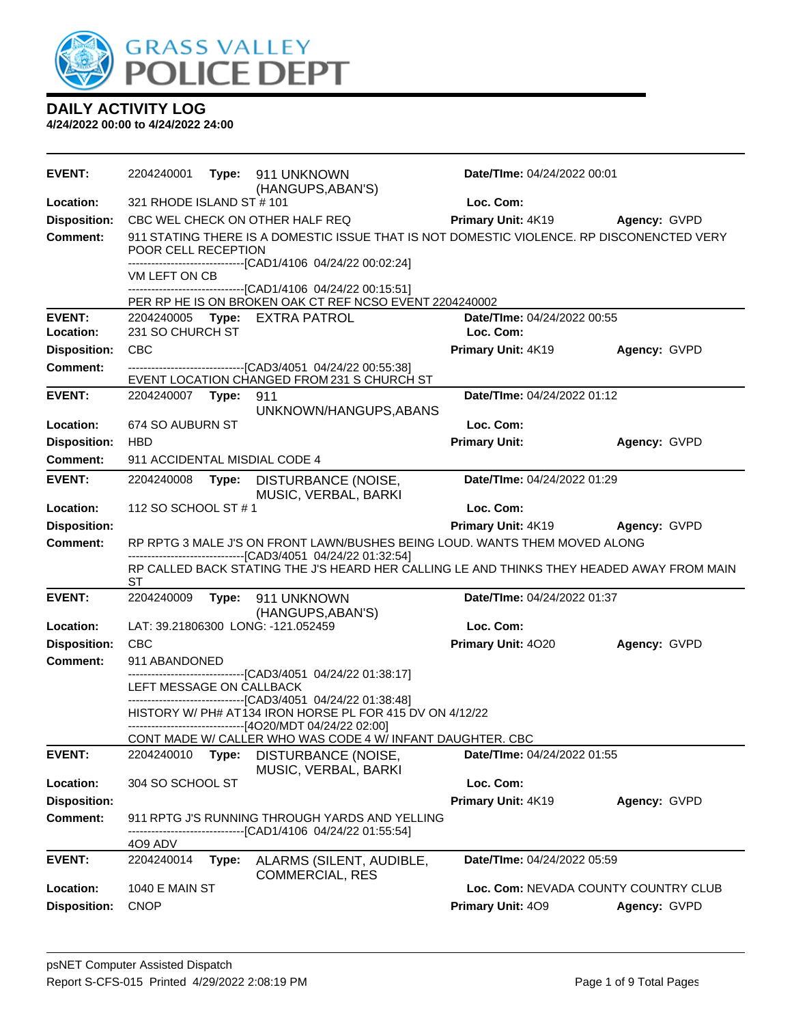

| <b>EVENT:</b>                    | 2204240001                           |       | Type: 911 UNKNOWN<br>(HANGUPS, ABAN'S)                                                                                                                   | Date/TIme: 04/24/2022 00:01                               |              |
|----------------------------------|--------------------------------------|-------|----------------------------------------------------------------------------------------------------------------------------------------------------------|-----------------------------------------------------------|--------------|
| Location:                        | 321 RHODE ISLAND ST # 101            |       |                                                                                                                                                          | Loc. Com:                                                 |              |
| <b>Disposition:</b>              |                                      |       | CBC WEL CHECK ON OTHER HALF REQ                                                                                                                          | Primary Unit: 4K19                                        | Agency: GVPD |
| <b>Comment:</b>                  | POOR CELL RECEPTION                  |       | 911 STATING THERE IS A DOMESTIC ISSUE THAT IS NOT DOMESTIC VIOLENCE. RP DISCONENCTED VERY<br>------------------------------[CAD1/4106 04/24/22 00:02:24] |                                                           |              |
|                                  | VM LEFT ON CB                        |       |                                                                                                                                                          |                                                           |              |
|                                  |                                      |       | ----------------------[CAD1/4106 04/24/22 00:15:51]                                                                                                      |                                                           |              |
| <b>EVENT:</b>                    |                                      |       | PER RP HE IS ON BROKEN OAK CT REF NCSO EVENT 2204240002                                                                                                  | Date/TIme: 04/24/2022 00:55                               |              |
| Location:                        | 231 SO CHURCH ST                     |       | 2204240005 Type: EXTRA PATROL                                                                                                                            | Loc. Com:                                                 |              |
| <b>Disposition:</b>              | <b>CBC</b>                           |       |                                                                                                                                                          | Primary Unit: 4K19                                        | Agency: GVPD |
| <b>Comment:</b>                  |                                      |       | -------------------------------[CAD3/4051 04/24/22 00:55:38]                                                                                             |                                                           |              |
|                                  |                                      |       | EVENT LOCATION CHANGED FROM 231 S CHURCH ST                                                                                                              |                                                           |              |
| <b>EVENT:</b>                    | 2204240007                           | Type: | 911                                                                                                                                                      | Date/TIme: 04/24/2022 01:12                               |              |
|                                  |                                      |       | UNKNOWN/HANGUPS, ABANS                                                                                                                                   |                                                           |              |
| Location:                        | 674 SO AUBURN ST                     |       |                                                                                                                                                          | Loc. Com:                                                 |              |
| <b>Disposition:</b>              | <b>HBD</b>                           |       |                                                                                                                                                          | <b>Primary Unit:</b>                                      | Agency: GVPD |
| <b>Comment:</b>                  | 911 ACCIDENTAL MISDIAL CODE 4        |       |                                                                                                                                                          |                                                           |              |
| <b>EVENT:</b>                    | 2204240008                           | Type: | DISTURBANCE (NOISE,<br>MUSIC, VERBAL, BARKI                                                                                                              | Date/TIme: 04/24/2022 01:29                               |              |
| Location:                        | 112 SO SCHOOL ST # 1                 |       |                                                                                                                                                          | Loc. Com:                                                 |              |
| <b>Disposition:</b>              |                                      |       |                                                                                                                                                          | Primary Unit: 4K19                                        | Agency: GVPD |
|                                  |                                      |       |                                                                                                                                                          |                                                           |              |
| <b>Comment:</b>                  |                                      |       | RP RPTG 3 MALE J'S ON FRONT LAWN/BUSHES BEING LOUD. WANTS THEM MOVED ALONG                                                                               |                                                           |              |
|                                  | <b>ST</b>                            |       | ------------------------------[CAD3/4051_04/24/22 01:32:54]<br>RP CALLED BACK STATING THE J'S HEARD HER CALLING LE AND THINKS THEY HEADED AWAY FROM MAIN |                                                           |              |
| <b>EVENT:</b>                    | 2204240009                           |       | Type: 911 UNKNOWN<br>(HANGUPS, ABAN'S)                                                                                                                   | Date/TIme: 04/24/2022 01:37                               |              |
| Location:                        |                                      |       | LAT: 39.21806300 LONG: -121.052459                                                                                                                       | Loc. Com:                                                 |              |
| <b>Disposition:</b>              | <b>CBC</b>                           |       |                                                                                                                                                          | Primary Unit: 4020                                        | Agency: GVPD |
| <b>Comment:</b>                  | 911 ABANDONED                        |       |                                                                                                                                                          |                                                           |              |
|                                  |                                      |       | -------------------------[CAD3/4051_04/24/22_01:38:17]                                                                                                   |                                                           |              |
|                                  | LEFT MESSAGE ON CALLBACK             |       | ----------------------------------[CAD3/4051 04/24/22 01:38:48]                                                                                          |                                                           |              |
|                                  |                                      |       | HISTORY W/ PH# AT134 IRON HORSE PL FOR 415 DV ON 4/12/22                                                                                                 |                                                           |              |
|                                  |                                      |       | -------------------------------[4O20/MDT 04/24/22 02:00]                                                                                                 |                                                           |              |
|                                  |                                      |       | CONT MADE W/ CALLER WHO WAS CODE 4 W/ INFANT DAUGHTER. CBC                                                                                               |                                                           |              |
| <b>EVENT:</b>                    | 2204240010                           | Type: | DISTURBANCE (NOISE,                                                                                                                                      | Date/TIme: 04/24/2022 01:55                               |              |
| Location:                        | 304 SO SCHOOL ST                     |       | MUSIC, VERBAL, BARKI                                                                                                                                     | Loc. Com:                                                 |              |
| <b>Disposition:</b>              |                                      |       |                                                                                                                                                          | Primary Unit: 4K19                                        | Agency: GVPD |
| <b>Comment:</b>                  |                                      |       | 911 RPTG J'S RUNNING THROUGH YARDS AND YELLING<br>----------------[CAD1/4106 04/24/22 01:55:54]                                                          |                                                           |              |
|                                  | 4O9 ADV                              |       |                                                                                                                                                          |                                                           |              |
| <b>EVENT:</b>                    | 2204240014                           | Type: | ALARMS (SILENT, AUDIBLE,<br><b>COMMERCIAL, RES</b>                                                                                                       | Date/TIme: 04/24/2022 05:59                               |              |
| Location:<br><b>Disposition:</b> | <b>1040 E MAIN ST</b><br><b>CNOP</b> |       |                                                                                                                                                          | Loc. Com: NEVADA COUNTY COUNTRY CLUB<br>Primary Unit: 409 | Agency: GVPD |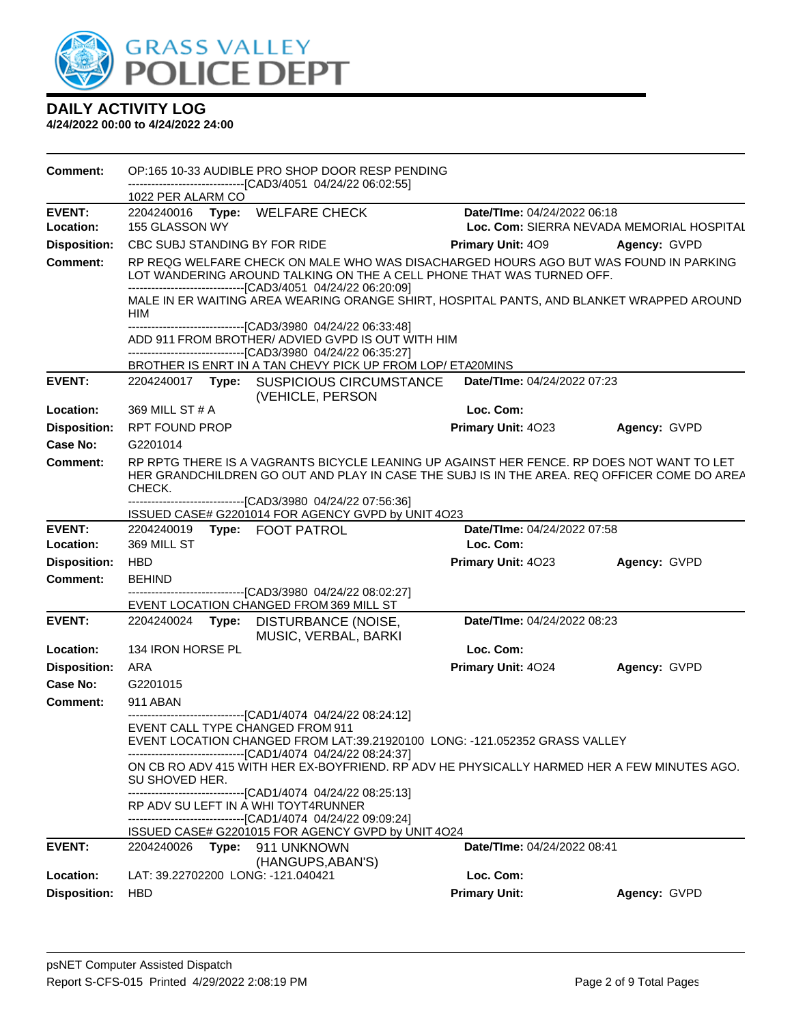

| <b>Comment:</b>     |                       | OP:165 10-33 AUDIBLE PRO SHOP DOOR RESP PENDING                                                                                                                                                                                               |                          |                             |                                           |
|---------------------|-----------------------|-----------------------------------------------------------------------------------------------------------------------------------------------------------------------------------------------------------------------------------------------|--------------------------|-----------------------------|-------------------------------------------|
|                     | 1022 PER ALARM CO     | ------------------------[CAD3/4051_04/24/22_06:02:55]                                                                                                                                                                                         |                          |                             |                                           |
| <b>EVENT:</b>       |                       | 2204240016 Type: WELFARE CHECK                                                                                                                                                                                                                |                          | Date/TIme: 04/24/2022 06:18 |                                           |
| Location:           | 155 GLASSON WY        |                                                                                                                                                                                                                                               |                          |                             | Loc. Com: SIERRA NEVADA MEMORIAL HOSPITAL |
| <b>Disposition:</b> |                       | CBC SUBJ STANDING BY FOR RIDE                                                                                                                                                                                                                 | <b>Primary Unit: 409</b> |                             | Agency: GVPD                              |
| <b>Comment:</b>     |                       | RP REQG WELFARE CHECK ON MALE WHO WAS DISACHARGED HOURS AGO BUT WAS FOUND IN PARKING<br>LOT WANDERING AROUND TALKING ON THE A CELL PHONE THAT WAS TURNED OFF.<br>-------------------------------[CAD3/4051 04/24/22 06:20:09]                 |                          |                             |                                           |
|                     | HIM                   | MALE IN ER WAITING AREA WEARING ORANGE SHIRT, HOSPITAL PANTS, AND BLANKET WRAPPED AROUND                                                                                                                                                      |                          |                             |                                           |
|                     |                       | ------------------------------[CAD3/3980 04/24/22 06:33:48]<br>ADD 911 FROM BROTHER/ ADVIED GVPD IS OUT WITH HIM<br>--------------------------------[CAD3/3980 04/24/22 06:35:27]                                                             |                          |                             |                                           |
|                     |                       | BROTHER IS ENRT IN A TAN CHEVY PICK UP FROM LOP/ ETA20MINS                                                                                                                                                                                    |                          |                             |                                           |
| <b>EVENT:</b>       |                       | 2204240017 Type: SUSPICIOUS CIRCUMSTANCE<br>(VEHICLE, PERSON                                                                                                                                                                                  |                          | Date/TIme: 04/24/2022 07:23 |                                           |
| Location:           | 369 MILL ST # A       |                                                                                                                                                                                                                                               | Loc. Com:                |                             |                                           |
| <b>Disposition:</b> | <b>RPT FOUND PROP</b> |                                                                                                                                                                                                                                               | Primary Unit: 4023       |                             | Agency: GVPD                              |
| <b>Case No:</b>     | G2201014              |                                                                                                                                                                                                                                               |                          |                             |                                           |
| Comment:            | CHECK.                | RP RPTG THERE IS A VAGRANTS BICYCLE LEANING UP AGAINST HER FENCE. RP DOES NOT WANT TO LET<br>HER GRANDCHILDREN GO OUT AND PLAY IN CASE THE SUBJ IS IN THE AREA. REQ OFFICER COME DO AREA                                                      |                          |                             |                                           |
|                     |                       | ---------------------------------[CAD3/3980_04/24/22_07:56:36]<br>ISSUED CASE# G2201014 FOR AGENCY GVPD by UNIT 4O23                                                                                                                          |                          |                             |                                           |
| <b>EVENT:</b>       | 2204240019            | Type: FOOT PATROL                                                                                                                                                                                                                             |                          | Date/TIme: 04/24/2022 07:58 |                                           |
| Location:           | 369 MILL ST           |                                                                                                                                                                                                                                               | Loc. Com:                |                             |                                           |
| <b>Disposition:</b> | HBD                   |                                                                                                                                                                                                                                               | Primary Unit: 4023       |                             | Agency: GVPD                              |
| Comment:            | <b>BEHIND</b>         |                                                                                                                                                                                                                                               |                          |                             |                                           |
|                     |                       | -------------------------------[CAD3/3980 04/24/22 08:02:27]<br>EVENT LOCATION CHANGED FROM 369 MILL ST                                                                                                                                       |                          |                             |                                           |
| <b>EVENT:</b>       | 2204240024            | Type: DISTURBANCE (NOISE,<br>MUSIC, VERBAL, BARKI                                                                                                                                                                                             |                          | Date/TIme: 04/24/2022 08:23 |                                           |
| Location:           | 134 IRON HORSE PL     |                                                                                                                                                                                                                                               | Loc. Com:                |                             |                                           |
| <b>Disposition:</b> | ARA                   |                                                                                                                                                                                                                                               | Primary Unit: 4024       |                             | Agency: GVPD                              |
| Case No:            | G2201015              |                                                                                                                                                                                                                                               |                          |                             |                                           |
| <b>Comment:</b>     | 911 ABAN              |                                                                                                                                                                                                                                               |                          |                             |                                           |
|                     |                       | -------------------------------[CAD1/4074 04/24/22 08:24:12]<br>EVENT CALL TYPE CHANGED FROM 911<br>EVENT LOCATION CHANGED FROM LAT:39.21920100 LONG: -121.052352 GRASS VALLEY<br>------------------------------[CAD1/4074 04/24/22 08:24:37] |                          |                             |                                           |
|                     | SU SHOVED HER.        | ON CB RO ADV 415 WITH HER EX-BOYFRIEND. RP ADV HE PHYSICALLY HARMED HER A FEW MINUTES AGO.<br>-------------------------------[CAD1/4074 04/24/22 08:25:13]                                                                                    |                          |                             |                                           |
|                     |                       | RP ADV SU LEFT IN A WHI TOYT4RUNNER<br>------------------------------[CAD1/4074 04/24/22 09:09:24]<br>ISSUED CASE# G2201015 FOR AGENCY GVPD by UNIT 4O24                                                                                      |                          |                             |                                           |
| <b>EVENT:</b>       | 2204240026            | Type: 911 UNKNOWN                                                                                                                                                                                                                             |                          | Date/TIme: 04/24/2022 08:41 |                                           |
|                     |                       | (HANGUPS, ABAN'S)                                                                                                                                                                                                                             |                          |                             |                                           |
| Location:           |                       | LAT: 39.22702200 LONG: -121.040421                                                                                                                                                                                                            | Loc. Com:                |                             |                                           |
| <b>Disposition:</b> | <b>HBD</b>            |                                                                                                                                                                                                                                               | <b>Primary Unit:</b>     |                             | Agency: GVPD                              |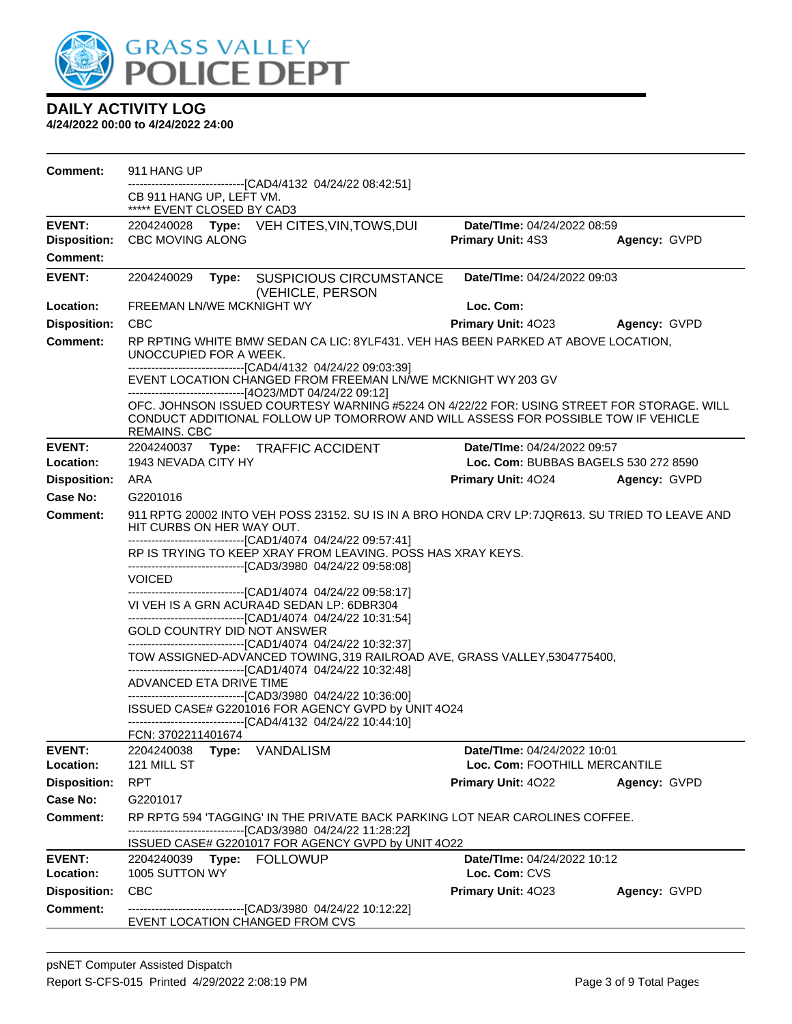

| Comment:            | 911 HANG UP<br>-------------------------------[CAD4/4132 04/24/22 08:42:51]                                                                                                                           |                                      |              |
|---------------------|-------------------------------------------------------------------------------------------------------------------------------------------------------------------------------------------------------|--------------------------------------|--------------|
|                     | CB 911 HANG UP, LEFT VM.<br>***** EVENT CLOSED BY CAD3                                                                                                                                                |                                      |              |
| <b>EVENT:</b>       | 2204240028 Type: VEH CITES, VIN, TOWS, DUI                                                                                                                                                            | Date/TIme: 04/24/2022 08:59          |              |
| <b>Disposition:</b> | <b>CBC MOVING ALONG</b>                                                                                                                                                                               | <b>Primary Unit: 4S3</b>             | Agency: GVPD |
| <b>Comment:</b>     |                                                                                                                                                                                                       |                                      |              |
| <b>EVENT:</b>       | 2204240029<br><b>SUSPICIOUS CIRCUMSTANCE</b><br>Type:<br>(VEHICLE, PERSON                                                                                                                             | Date/TIme: 04/24/2022 09:03          |              |
| Location:           | FREEMAN LN/WE MCKNIGHT WY                                                                                                                                                                             | Loc. Com:                            |              |
| <b>Disposition:</b> | <b>CBC</b>                                                                                                                                                                                            | Primary Unit: 4023                   | Agency: GVPD |
| <b>Comment:</b>     | RP RPTING WHITE BMW SEDAN CA LIC: 8YLF431. VEH HAS BEEN PARKED AT ABOVE LOCATION,<br>UNOCCUPIED FOR A WEEK.<br>-------------------------------[CAD4/4132 04/24/22 09:03:39]                           |                                      |              |
|                     | EVENT LOCATION CHANGED FROM FREEMAN LN/WE MCKNIGHT WY 203 GV<br>------------------------------[4O23/MDT 04/24/22 09:12]                                                                               |                                      |              |
|                     | OFC. JOHNSON ISSUED COURTESY WARNING #5224 ON 4/22/22 FOR: USING STREET FOR STORAGE. WILL<br>CONDUCT ADDITIONAL FOLLOW UP TOMORROW AND WILL ASSESS FOR POSSIBLE TOW IF VEHICLE<br><b>REMAINS. CBC</b> |                                      |              |
| <b>EVENT:</b>       | 2204240037 Type: TRAFFIC ACCIDENT                                                                                                                                                                     | Date/TIme: 04/24/2022 09:57          |              |
| Location:           | 1943 NEVADA CITY HY                                                                                                                                                                                   | Loc. Com: BUBBAS BAGELS 530 272 8590 |              |
| <b>Disposition:</b> | ARA                                                                                                                                                                                                   | <b>Primary Unit: 4024</b>            | Agency: GVPD |
| Case No:            | G2201016                                                                                                                                                                                              |                                      |              |
| Comment:            | 911 RPTG 20002 INTO VEH POSS 23152. SU IS IN A BRO HONDA CRV LP: 7JQR613. SU TRIED TO LEAVE AND<br>HIT CURBS ON HER WAY OUT.<br>-------------------------------[CAD1/4074 04/24/22 09:57:41]          |                                      |              |
|                     | RP IS TRYING TO KEEP XRAY FROM LEAVING. POSS HAS XRAY KEYS.                                                                                                                                           |                                      |              |
|                     | --------------------------------[CAD3/3980 04/24/22 09:58:08]<br><b>VOICED</b>                                                                                                                        |                                      |              |
|                     | ------------------------------[CAD1/4074_04/24/22_09:58:17]                                                                                                                                           |                                      |              |
|                     | VI VEH IS A GRN ACURA4D SEDAN LP: 6DBR304                                                                                                                                                             |                                      |              |
|                     | -------------------------------[CAD1/4074 04/24/22 10:31:54]<br>GOLD COUNTRY DID NOT ANSWER                                                                                                           |                                      |              |
|                     | -------------------------------[CAD1/4074 04/24/22 10:32:37]                                                                                                                                          |                                      |              |
|                     | TOW ASSIGNED-ADVANCED TOWING, 319 RAILROAD AVE, GRASS VALLEY, 5304775400,<br>------------------------------[CAD1/4074 04/24/22 10:32:48]                                                              |                                      |              |
|                     | ADVANCED ETA DRIVE TIME                                                                                                                                                                               |                                      |              |
|                     | --------------------------------[CAD3/3980 04/24/22 10:36:00]<br>ISSUED CASE# G2201016 FOR AGENCY GVPD by UNIT 4O24<br>------------------------------[CAD4/4132_04/24/22 10:44:10]                    |                                      |              |
|                     | FCN: 3702211401674                                                                                                                                                                                    |                                      |              |
| <b>EVENT:</b>       | Type: VANDALISM<br>2204240038                                                                                                                                                                         | Date/TIme: 04/24/2022 10:01          |              |
| Location:           | 121 MILL ST                                                                                                                                                                                           | Loc. Com: FOOTHILL MERCANTILE        |              |
| <b>Disposition:</b> | <b>RPT</b>                                                                                                                                                                                            | <b>Primary Unit: 4022</b>            | Agency: GVPD |
| Case No:            | G2201017                                                                                                                                                                                              |                                      |              |
| Comment:            | RP RPTG 594 'TAGGING' IN THE PRIVATE BACK PARKING LOT NEAR CAROLINES COFFEE.<br>-------------------------------[CAD3/3980_04/24/22 11:28:22]<br>ISSUED CASE# G2201017 FOR AGENCY GVPD by UNIT 4O22    |                                      |              |
| <b>EVENT:</b>       | 2204240039 Type: FOLLOWUP                                                                                                                                                                             | Date/TIme: 04/24/2022 10:12          |              |
| Location:           | 1005 SUTTON WY                                                                                                                                                                                        | Loc. Com: CVS                        |              |
| <b>Disposition:</b> | <b>CBC</b>                                                                                                                                                                                            | <b>Primary Unit: 4023</b>            | Agency: GVPD |
| Comment:            | -------------------------------[CAD3/3980 04/24/22 10:12:22]<br>EVENT LOCATION CHANGED FROM CVS                                                                                                       |                                      |              |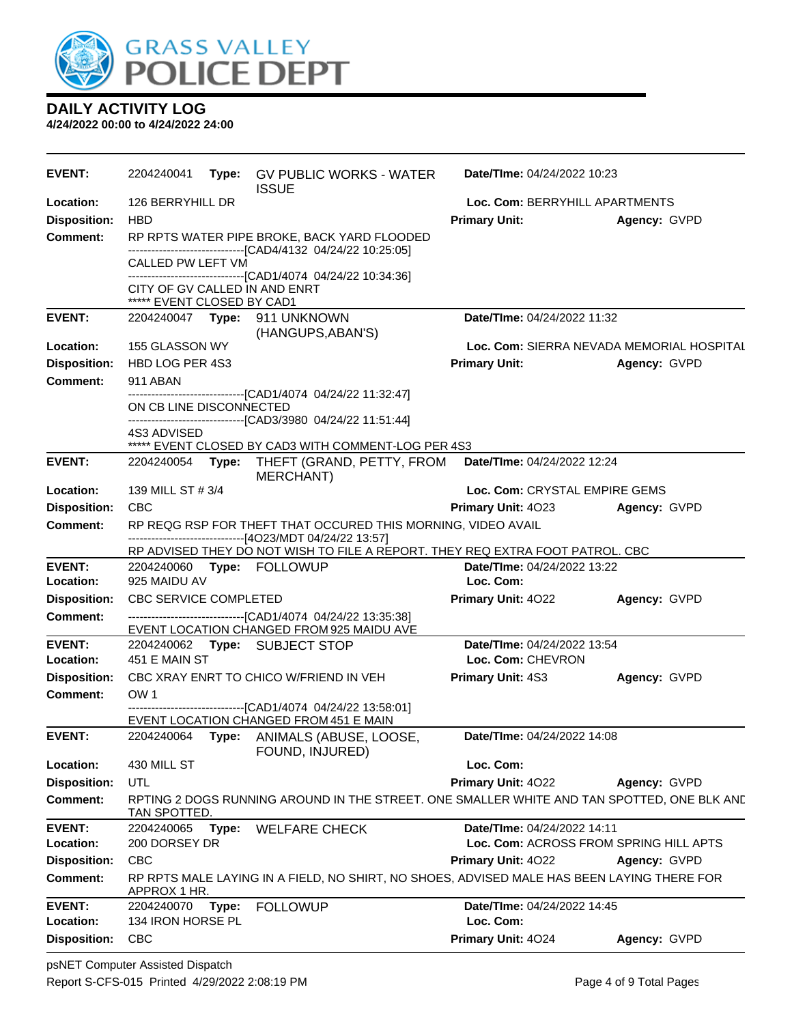

| <b>EVENT:</b>       | 2204240041                                                  | <b>Type:</b> GV PUBLIC WORKS - WATER<br><b>ISSUE</b>                                                                                     | Date/TIme: 04/24/2022 10:23               |              |
|---------------------|-------------------------------------------------------------|------------------------------------------------------------------------------------------------------------------------------------------|-------------------------------------------|--------------|
| Location:           | 126 BERRYHILL DR                                            |                                                                                                                                          | Loc. Com: BERRYHILL APARTMENTS            |              |
| <b>Disposition:</b> | <b>HBD</b>                                                  |                                                                                                                                          | <b>Primary Unit:</b>                      | Agency: GVPD |
| <b>Comment:</b>     |                                                             | RP RPTS WATER PIPE BROKE, BACK YARD FLOODED<br>-------------------------------[CAD4/4132 04/24/22 10:25:05]                              |                                           |              |
|                     | CALLED PW LEFT VM                                           |                                                                                                                                          |                                           |              |
|                     | CITY OF GV CALLED IN AND ENRT<br>***** EVENT CLOSED BY CAD1 | ------------------------------[CAD1/4074_04/24/22 10:34:36]                                                                              |                                           |              |
| <b>EVENT:</b>       | 2204240047    Type: 911    UNKNOWN                          |                                                                                                                                          | Date/TIme: 04/24/2022 11:32               |              |
| Location:           | 155 GLASSON WY                                              | (HANGUPS, ABAN'S)                                                                                                                        | Loc. Com: SIERRA NEVADA MEMORIAL HOSPITAL |              |
| <b>Disposition:</b> | HBD LOG PER 4S3                                             |                                                                                                                                          | <b>Primary Unit:</b>                      | Agency: GVPD |
| <b>Comment:</b>     | 911 ABAN                                                    |                                                                                                                                          |                                           |              |
|                     |                                                             | ------------------------------[CAD1/4074 04/24/22 11:32:47]                                                                              |                                           |              |
|                     | ON CB LINE DISCONNECTED                                     |                                                                                                                                          |                                           |              |
|                     | 4S3 ADVISED                                                 | -------------------------------[CAD3/3980 04/24/22 11:51:44]                                                                             |                                           |              |
|                     |                                                             | ***** EVENT CLOSED BY CAD3 WITH COMMENT-LOG PER 4S3                                                                                      |                                           |              |
| <b>EVENT:</b>       |                                                             | 2204240054 Type: THEFT (GRAND, PETTY, FROM<br><b>MERCHANT)</b>                                                                           | Date/TIme: 04/24/2022 12:24               |              |
| Location:           | 139 MILL ST # 3/4                                           |                                                                                                                                          | Loc. Com: CRYSTAL EMPIRE GEMS             |              |
| <b>Disposition:</b> | <b>CBC</b>                                                  |                                                                                                                                          | <b>Primary Unit: 4023</b>                 | Agency: GVPD |
| <b>Comment:</b>     |                                                             | RP REQG RSP FOR THEFT THAT OCCURED THIS MORNING, VIDEO AVAIL                                                                             |                                           |              |
|                     |                                                             | ------------------------------[4O23/MDT 04/24/22 13:57]<br>RP ADVISED THEY DO NOT WISH TO FILE A REPORT. THEY REQ EXTRA FOOT PATROL. CBC |                                           |              |
| <b>EVENT:</b>       | 2204240060 Type: FOLLOWUP                                   |                                                                                                                                          | Date/TIme: 04/24/2022 13:22               |              |
| Location:           | 925 MAIDU AV                                                |                                                                                                                                          | Loc. Com:                                 |              |
| <b>Disposition:</b> | CBC SERVICE COMPLETED                                       |                                                                                                                                          | <b>Primary Unit: 4022</b>                 | Agency: GVPD |
| Comment:            |                                                             | --------------------------------[CAD1/4074 04/24/22 13:35:38]<br>EVENT LOCATION CHANGED FROM 925 MAIDU AVE                               |                                           |              |
| <b>EVENT:</b>       | 2204240062 Type: SUBJECT STOP                               |                                                                                                                                          | Date/TIme: 04/24/2022 13:54               |              |
| Location:           | 451 E MAIN ST                                               |                                                                                                                                          | Loc. Com: CHEVRON                         |              |
| <b>Disposition:</b> |                                                             | CBC XRAY ENRT TO CHICO W/FRIEND IN VEH                                                                                                   | <b>Primary Unit: 4S3</b>                  | Agency: GVPD |
| Comment:            | OW <sub>1</sub>                                             |                                                                                                                                          |                                           |              |
|                     |                                                             | -------------------------------[CAD1/4074 04/24/22 13:58:01]<br>EVENT LOCATION CHANGED FROM 451 E MAIN                                   |                                           |              |
| <b>EVENT:</b>       |                                                             | 2204240064 Type: ANIMALS (ABUSE, LOOSE,<br>FOUND, INJURED)                                                                               | Date/TIme: 04/24/2022 14:08               |              |
| Location:           | 430 MILL ST                                                 |                                                                                                                                          | Loc. Com:                                 |              |
| <b>Disposition:</b> | UTL                                                         |                                                                                                                                          | Primary Unit: 4022                        | Agency: GVPD |
| <b>Comment:</b>     | TAN SPOTTED.                                                | RPTING 2 DOGS RUNNING AROUND IN THE STREET. ONE SMALLER WHITE AND TAN SPOTTED, ONE BLK AND                                               |                                           |              |
| <b>EVENT:</b>       | 2204240065<br>Type:                                         | <b>WELFARE CHECK</b>                                                                                                                     | Date/TIme: 04/24/2022 14:11               |              |
| Location:           | 200 DORSEY DR                                               |                                                                                                                                          | Loc. Com: ACROSS FROM SPRING HILL APTS    |              |
| <b>Disposition:</b> | <b>CBC</b>                                                  |                                                                                                                                          | Primary Unit: 4022                        | Agency: GVPD |
| <b>Comment:</b>     | APPROX 1 HR.                                                | RP RPTS MALE LAYING IN A FIELD, NO SHIRT, NO SHOES, ADVISED MALE HAS BEEN LAYING THERE FOR                                               |                                           |              |
| <b>EVENT:</b>       | 2204240070<br>Type:                                         | <b>FOLLOWUP</b>                                                                                                                          | Date/TIme: 04/24/2022 14:45               |              |
| Location:           | 134 IRON HORSE PL                                           |                                                                                                                                          | Loc. Com:                                 |              |
| <b>Disposition:</b> | <b>CBC</b>                                                  |                                                                                                                                          | Primary Unit: 4024                        | Agency: GVPD |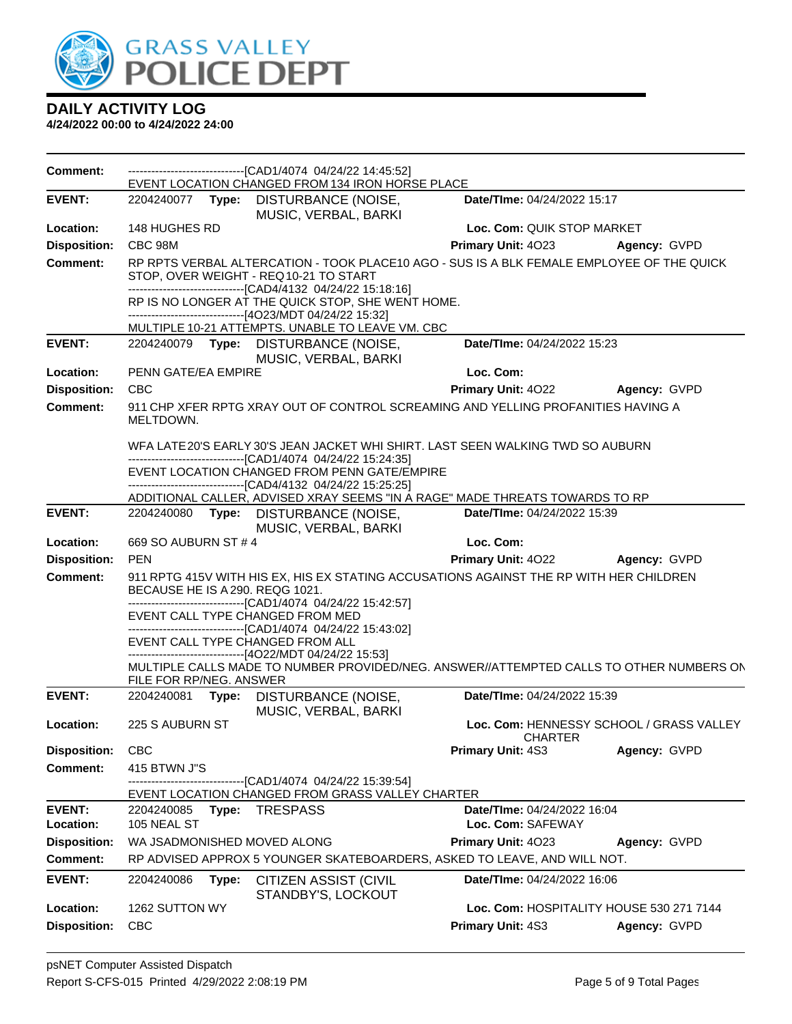

| <b>Comment:</b>     |                                                                                                                           | ---------------------------------[CAD1/4074 04/24/22 14:45:52]<br>EVENT LOCATION CHANGED FROM 134 IRON HORSE PLACE                                                           |                                          |                                          |
|---------------------|---------------------------------------------------------------------------------------------------------------------------|------------------------------------------------------------------------------------------------------------------------------------------------------------------------------|------------------------------------------|------------------------------------------|
| <b>EVENT:</b>       |                                                                                                                           | 2204240077 Type: DISTURBANCE (NOISE,<br>MUSIC, VERBAL, BARKI                                                                                                                 | Date/TIme: 04/24/2022 15:17              |                                          |
| Location:           | 148 HUGHES RD                                                                                                             |                                                                                                                                                                              | Loc. Com: QUIK STOP MARKET               |                                          |
| <b>Disposition:</b> | CBC 98M                                                                                                                   |                                                                                                                                                                              | Primary Unit: 4023                       | Agency: GVPD                             |
| <b>Comment:</b>     |                                                                                                                           | RP RPTS VERBAL ALTERCATION - TOOK PLACE10 AGO - SUS IS A BLK FEMALE EMPLOYEE OF THE QUICK<br>STOP, OVER WEIGHT - REQ10-21 TO START                                           |                                          |                                          |
|                     |                                                                                                                           | -------------------------------[CAD4/4132_04/24/22_15:18:16]<br>RP IS NO LONGER AT THE QUICK STOP, SHE WENT HOME.<br>------------------------------[4O23/MDT 04/24/22 15:32] |                                          |                                          |
|                     |                                                                                                                           | MULTIPLE 10-21 ATTEMPTS. UNABLE TO LEAVE VM. CBC                                                                                                                             |                                          |                                          |
| <b>EVENT:</b>       |                                                                                                                           | 2204240079 Type: DISTURBANCE (NOISE,<br>MUSIC, VERBAL, BARKI                                                                                                                 | Date/TIme: 04/24/2022 15:23              |                                          |
| Location:           | PENN GATE/EA EMPIRE                                                                                                       |                                                                                                                                                                              | Loc. Com:                                |                                          |
| <b>Disposition:</b> | <b>CBC</b>                                                                                                                |                                                                                                                                                                              | <b>Primary Unit: 4022</b>                | Agency: GVPD                             |
| <b>Comment:</b>     |                                                                                                                           | 911 CHP XFER RPTG XRAY OUT OF CONTROL SCREAMING AND YELLING PROFANITIES HAVING A                                                                                             |                                          |                                          |
|                     | MELTDOWN.                                                                                                                 |                                                                                                                                                                              |                                          |                                          |
|                     |                                                                                                                           | WFA LATE20'S EARLY 30'S JEAN JACKET WHI SHIRT. LAST SEEN WALKING TWD SO AUBURN<br>-------------------------------[CAD1/4074_04/24/22 15:24:35]                               |                                          |                                          |
|                     |                                                                                                                           | EVENT LOCATION CHANGED FROM PENN GATE/EMPIRE                                                                                                                                 |                                          |                                          |
|                     |                                                                                                                           | ------------------------------[CAD4/4132_04/24/22_15:25:25]                                                                                                                  |                                          |                                          |
|                     |                                                                                                                           | ADDITIONAL CALLER, ADVISED XRAY SEEMS "IN A RAGE" MADE THREATS TOWARDS TO RP                                                                                                 |                                          |                                          |
| <b>EVENT:</b>       |                                                                                                                           | 2204240080 Type: DISTURBANCE (NOISE,<br>MUSIC, VERBAL, BARKI                                                                                                                 | Date/TIme: 04/24/2022 15:39              |                                          |
| Location:           | 669 SO AUBURN ST # 4                                                                                                      |                                                                                                                                                                              | Loc. Com:                                |                                          |
| <b>Disposition:</b> | <b>PEN</b>                                                                                                                |                                                                                                                                                                              | <b>Primary Unit: 4022</b>                | Agency: GVPD                             |
| <b>Comment:</b>     | 911 RPTG 415V WITH HIS EX, HIS EX STATING ACCUSATIONS AGAINST THE RP WITH HER CHILDREN<br>BECAUSE HE IS A 290. REQG 1021. |                                                                                                                                                                              |                                          |                                          |
|                     |                                                                                                                           |                                                                                                                                                                              |                                          |                                          |
|                     |                                                                                                                           | ---------------------------[CAD1/4074_04/24/22 15:42:57]                                                                                                                     |                                          |                                          |
|                     | EVENT CALL TYPE CHANGED FROM MED                                                                                          |                                                                                                                                                                              |                                          |                                          |
|                     | EVENT CALL TYPE CHANGED FROM ALL                                                                                          | ------------------------[CAD1/4074_04/24/22 15:43:02]                                                                                                                        |                                          |                                          |
|                     |                                                                                                                           | -------------------------------[4O22/MDT 04/24/22 15:53]<br>MULTIPLE CALLS MADE TO NUMBER PROVIDED/NEG. ANSWER//ATTEMPTED CALLS TO OTHER NUMBERS ON                          |                                          |                                          |
|                     | FILE FOR RP/NEG. ANSWER                                                                                                   |                                                                                                                                                                              |                                          |                                          |
| <b>EVENT:</b>       | 2204240081<br>Type:                                                                                                       | DISTURBANCE (NOISE,<br>MUSIC, VERBAL, BARKI                                                                                                                                  | Date/TIme: 04/24/2022 15:39              |                                          |
| Location:           | 225 S AUBURN ST                                                                                                           |                                                                                                                                                                              | <b>CHARTER</b>                           | Loc. Com: HENNESSY SCHOOL / GRASS VALLEY |
| <b>Disposition:</b> | <b>CBC</b>                                                                                                                |                                                                                                                                                                              | <b>Primary Unit: 4S3</b>                 | Agency: GVPD                             |
| <b>Comment:</b>     | 415 BTWN J"S                                                                                                              |                                                                                                                                                                              |                                          |                                          |
|                     |                                                                                                                           | -----------[CAD1/4074 04/24/22 15:39:54]<br>EVENT LOCATION CHANGED FROM GRASS VALLEY CHARTER                                                                                 |                                          |                                          |
| <b>EVENT:</b>       | 2204240085<br>Type:                                                                                                       | <b>TRESPASS</b>                                                                                                                                                              | Date/TIme: 04/24/2022 16:04              |                                          |
| Location:           | 105 NEAL ST                                                                                                               |                                                                                                                                                                              | Loc. Com: SAFEWAY                        |                                          |
| <b>Disposition:</b> | WA JSADMONISHED MOVED ALONG                                                                                               |                                                                                                                                                                              | Primary Unit: 4023                       | Agency: GVPD                             |
| <b>Comment:</b>     |                                                                                                                           | RP ADVISED APPROX 5 YOUNGER SKATEBOARDERS, ASKED TO LEAVE, AND WILL NOT.                                                                                                     |                                          |                                          |
| <b>EVENT:</b>       | 2204240086<br>Type:                                                                                                       | CITIZEN ASSIST (CIVIL                                                                                                                                                        | Date/TIme: 04/24/2022 16:06              |                                          |
| Location:           | 1262 SUTTON WY                                                                                                            | STANDBY'S, LOCKOUT                                                                                                                                                           | Loc. Com: HOSPITALITY HOUSE 530 271 7144 |                                          |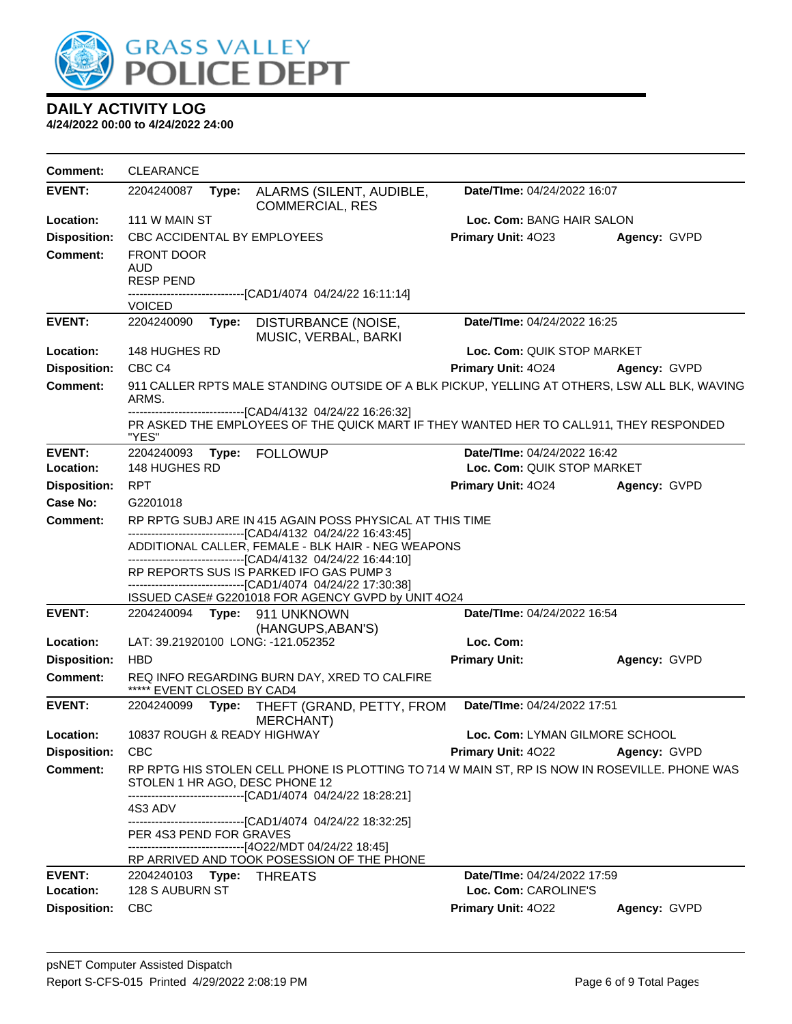

| <b>Comment:</b>                 | <b>CLEARANCE</b>                                    |                                                                                                                                                        |                                    |              |
|---------------------------------|-----------------------------------------------------|--------------------------------------------------------------------------------------------------------------------------------------------------------|------------------------------------|--------------|
| <b>EVENT:</b>                   | 2204240087<br>Type:                                 | ALARMS (SILENT, AUDIBLE,<br><b>COMMERCIAL, RES</b>                                                                                                     | Date/TIme: 04/24/2022 16:07        |              |
| Location:                       | 111 W MAIN ST                                       |                                                                                                                                                        | Loc. Com: BANG HAIR SALON          |              |
| <b>Disposition:</b>             | CBC ACCIDENTAL BY EMPLOYEES                         |                                                                                                                                                        | <b>Primary Unit: 4023</b>          | Agency: GVPD |
| Comment:                        | <b>FRONT DOOR</b><br><b>AUD</b><br><b>RESP PEND</b> | ----------------------------[CAD1/4074_04/24/22 16:11:14]                                                                                              |                                    |              |
|                                 | <b>VOICED</b>                                       |                                                                                                                                                        |                                    |              |
| <b>EVENT:</b>                   | 2204240090<br>Type:                                 | DISTURBANCE (NOISE,<br>MUSIC, VERBAL, BARKI                                                                                                            | <b>Date/Time: 04/24/2022 16:25</b> |              |
| Location:                       | 148 HUGHES RD                                       |                                                                                                                                                        | Loc. Com: QUIK STOP MARKET         |              |
| <b>Disposition:</b>             | CBC <sub>C4</sub>                                   |                                                                                                                                                        | <b>Primary Unit: 4024</b>          | Agency: GVPD |
| <b>Comment:</b>                 | ARMS.                                               | 911 CALLER RPTS MALE STANDING OUTSIDE OF A BLK PICKUP, YELLING AT OTHERS, LSW ALL BLK, WAVING                                                          |                                    |              |
|                                 | "YES"                                               | -------------------------------[CAD4/4132_04/24/22_16:26:32]<br>PR ASKED THE EMPLOYEES OF THE QUICK MART IF THEY WANTED HER TO CALL911, THEY RESPONDED |                                    |              |
| <b>EVENT:</b>                   | 2204240093<br>Type:                                 | <b>FOLLOWUP</b>                                                                                                                                        | Date/TIme: 04/24/2022 16:42        |              |
| Location:                       | 148 HUGHES RD                                       |                                                                                                                                                        | Loc. Com: QUIK STOP MARKET         |              |
| <b>Disposition:</b>             | <b>RPT</b>                                          |                                                                                                                                                        | <b>Primary Unit: 4024</b>          | Agency: GVPD |
| Case No:                        | G2201018                                            |                                                                                                                                                        |                                    |              |
| <b>Comment:</b>                 |                                                     | RP RPTG SUBJ ARE IN 415 AGAIN POSS PHYSICAL AT THIS TIME<br>-------------------------------[CAD4/4132 04/24/22 16:43:45]                               |                                    |              |
|                                 |                                                     | ADDITIONAL CALLER, FEMALE - BLK HAIR - NEG WEAPONS<br>------------------------------[CAD4/4132_04/24/22 16:44:10]                                      |                                    |              |
|                                 |                                                     | RP REPORTS SUS IS PARKED IFO GAS PUMP3<br>------------------------------[CAD1/4074_04/24/22 17:30:38]                                                  |                                    |              |
|                                 |                                                     | ISSUED CASE# G2201018 FOR AGENCY GVPD by UNIT 4O24                                                                                                     |                                    |              |
| <b>EVENT:</b>                   |                                                     | 2204240094    Type: 911    UNKNOWN<br>(HANGUPS, ABAN'S)                                                                                                | Date/TIme: 04/24/2022 16:54        |              |
| Location:                       | LAT: 39.21920100 LONG: -121.052352                  |                                                                                                                                                        | Loc. Com:                          |              |
| <b>Disposition:</b><br>Comment: | <b>HBD</b>                                          | REQ INFO REGARDING BURN DAY, XRED TO CALFIRE                                                                                                           | <b>Primary Unit:</b>               | Agency: GVPD |
|                                 | ***** EVENT CLOSED BY CAD4                          |                                                                                                                                                        |                                    |              |
| <b>EVENT:</b>                   | 2204240099<br>Type:                                 | THEFT (GRAND, PETTY, FROM<br>MERCHANT)                                                                                                                 | Date/TIme: 04/24/2022 17:51        |              |
| Location:                       | 10837 ROUGH & READY HIGHWAY                         |                                                                                                                                                        | Loc. Com: LYMAN GILMORE SCHOOL     |              |
| <b>Disposition:</b>             | <b>CBC</b>                                          |                                                                                                                                                        | <b>Primary Unit: 4022</b>          | Agency: GVPD |
| <b>Comment:</b>                 | STOLEN 1 HR AGO, DESC PHONE 12                      | RP RPTG HIS STOLEN CELL PHONE IS PLOTTING TO 714 W MAIN ST, RP IS NOW IN ROSEVILLE. PHONE WAS                                                          |                                    |              |
|                                 | 4S3 ADV                                             | -------------------------------[CAD1/4074_04/24/22_18:28:21]<br>-------------------------------[CAD1/4074 04/24/22 18:32:25]                           |                                    |              |
|                                 | PER 4S3 PEND FOR GRAVES                             |                                                                                                                                                        |                                    |              |
|                                 |                                                     | -------------------------------[4O22/MDT 04/24/22 18:45]<br>RP ARRIVED AND TOOK POSESSION OF THE PHONE                                                 |                                    |              |
| <b>EVENT:</b>                   | 2204240103 Type:                                    | <b>THREATS</b>                                                                                                                                         | Date/TIme: 04/24/2022 17:59        |              |
| Location:                       | 128 S AUBURN ST                                     |                                                                                                                                                        | Loc. Com: CAROLINE'S               |              |
| <b>Disposition:</b>             | <b>CBC</b>                                          |                                                                                                                                                        | Primary Unit: 4022                 | Agency: GVPD |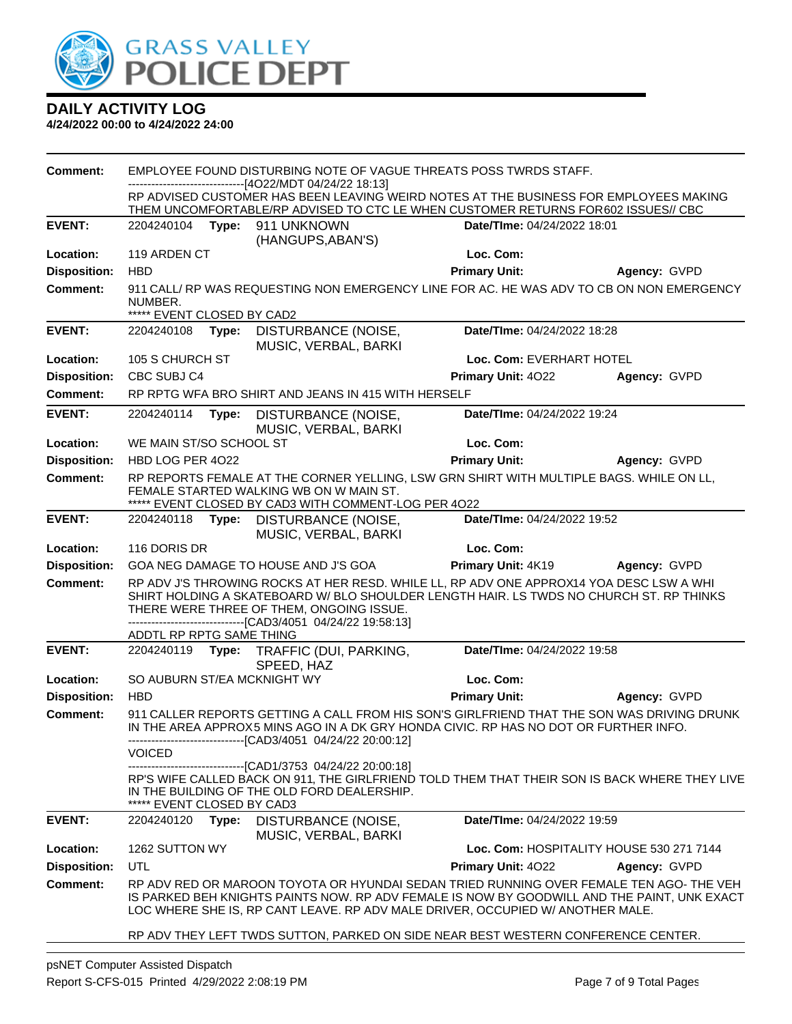

| <b>Comment:</b>     | EMPLOYEE FOUND DISTURBING NOTE OF VAGUE THREATS POSS TWRDS STAFF. |                                                                                                                       |                                                                                                 |                                                                                                                                                                                                                                                                          |                                          |
|---------------------|-------------------------------------------------------------------|-----------------------------------------------------------------------------------------------------------------------|-------------------------------------------------------------------------------------------------|--------------------------------------------------------------------------------------------------------------------------------------------------------------------------------------------------------------------------------------------------------------------------|------------------------------------------|
|                     |                                                                   | ---[4O22/MDT 04/24/22 18:13]<br>RP ADVISED CUSTOMER HAS BEEN LEAVING WEIRD NOTES AT THE BUSINESS FOR EMPLOYEES MAKING |                                                                                                 |                                                                                                                                                                                                                                                                          |                                          |
|                     |                                                                   |                                                                                                                       |                                                                                                 | THEM UNCOMFORTABLE/RP ADVISED TO CTC LE WHEN CUSTOMER RETURNS FOR602 ISSUES// CBC                                                                                                                                                                                        |                                          |
| <b>EVENT:</b>       | 2204240104                                                        | Type:                                                                                                                 | 911 UNKNOWN<br>(HANGUPS, ABAN'S)                                                                | Date/TIme: 04/24/2022 18:01                                                                                                                                                                                                                                              |                                          |
| Location:           | 119 ARDEN CT                                                      |                                                                                                                       |                                                                                                 | Loc. Com:                                                                                                                                                                                                                                                                |                                          |
| <b>Disposition:</b> | <b>HBD</b>                                                        |                                                                                                                       |                                                                                                 | <b>Primary Unit:</b>                                                                                                                                                                                                                                                     | Agency: GVPD                             |
| <b>Comment:</b>     | NUMBER.<br>***** EVENT CLOSED BY CAD2                             |                                                                                                                       |                                                                                                 | 911 CALL/ RP WAS REQUESTING NON EMERGENCY LINE FOR AC. HE WAS ADV TO CB ON NON EMERGENCY                                                                                                                                                                                 |                                          |
| <b>EVENT:</b>       | 2204240108                                                        | Type:                                                                                                                 | <b>DISTURBANCE (NOISE,</b>                                                                      | Date/TIme: 04/24/2022 18:28                                                                                                                                                                                                                                              |                                          |
|                     |                                                                   |                                                                                                                       | MUSIC, VERBAL, BARKI                                                                            |                                                                                                                                                                                                                                                                          |                                          |
| Location:           | 105 S CHURCH ST                                                   |                                                                                                                       |                                                                                                 | Loc. Com: EVERHART HOTEL                                                                                                                                                                                                                                                 |                                          |
| <b>Disposition:</b> | CBC SUBJ C4                                                       |                                                                                                                       |                                                                                                 | Primary Unit: 4022                                                                                                                                                                                                                                                       | Agency: GVPD                             |
| <b>Comment:</b>     |                                                                   |                                                                                                                       | RP RPTG WFA BRO SHIRT AND JEANS IN 415 WITH HERSELF                                             |                                                                                                                                                                                                                                                                          |                                          |
| <b>EVENT:</b>       | 2204240114                                                        | Type:                                                                                                                 | DISTURBANCE (NOISE,<br>MUSIC, VERBAL, BARKI                                                     | Date/TIme: 04/24/2022 19:24                                                                                                                                                                                                                                              |                                          |
| Location:           | WE MAIN ST/SO SCHOOL ST                                           |                                                                                                                       |                                                                                                 | Loc. Com:                                                                                                                                                                                                                                                                |                                          |
| <b>Disposition:</b> | HBD LOG PER 4022                                                  |                                                                                                                       |                                                                                                 | <b>Primary Unit:</b>                                                                                                                                                                                                                                                     | Agency: GVPD                             |
| <b>Comment:</b>     |                                                                   |                                                                                                                       | FEMALE STARTED WALKING WB ON W MAIN ST.<br>***** EVENT CLOSED BY CAD3 WITH COMMENT-LOG PER 4022 | RP REPORTS FEMALE AT THE CORNER YELLING, LSW GRN SHIRT WITH MULTIPLE BAGS. WHILE ON LL,                                                                                                                                                                                  |                                          |
| <b>EVENT:</b>       | 2204240118                                                        | Type:                                                                                                                 | <b>DISTURBANCE (NOISE,</b><br>MUSIC, VERBAL, BARKI                                              | Date/TIme: 04/24/2022 19:52                                                                                                                                                                                                                                              |                                          |
| Location:           | 116 DORIS DR                                                      |                                                                                                                       |                                                                                                 | Loc. Com:                                                                                                                                                                                                                                                                |                                          |
| <b>Disposition:</b> |                                                                   |                                                                                                                       | GOA NEG DAMAGE TO HOUSE AND J'S GOA                                                             | Primary Unit: 4K19                                                                                                                                                                                                                                                       | Agency: GVPD                             |
| <b>Comment:</b>     |                                                                   |                                                                                                                       | THERE WERE THREE OF THEM, ONGOING ISSUE.<br>---------------------[CAD3/4051 04/24/22 19:58:13]  | RP ADV J'S THROWING ROCKS AT HER RESD. WHILE LL, RP ADV ONE APPROX14 YOA DESC LSW A WHI<br>SHIRT HOLDING A SKATEBOARD W/ BLO SHOULDER LENGTH HAIR. LS TWDS NO CHURCH ST. RP THINKS                                                                                       |                                          |
|                     | ADDTL RP RPTG SAME THING                                          |                                                                                                                       |                                                                                                 |                                                                                                                                                                                                                                                                          |                                          |
| <b>EVENT:</b>       | 2204240119                                                        |                                                                                                                       | Type: TRAFFIC (DUI, PARKING,<br>SPEED, HAZ                                                      | Date/TIme: 04/24/2022 19:58                                                                                                                                                                                                                                              |                                          |
| Location:           | SO AUBURN ST/EA MCKNIGHT WY                                       |                                                                                                                       |                                                                                                 | Loc. Com:                                                                                                                                                                                                                                                                |                                          |
| <b>Disposition:</b> | <b>HBD</b>                                                        |                                                                                                                       |                                                                                                 | <b>Primary Unit:</b>                                                                                                                                                                                                                                                     | Agency: GVPD                             |
| <b>Comment:</b>     |                                                                   |                                                                                                                       | --------------[CAD3/4051 04/24/22 20:00:12]                                                     | 911 CALLER REPORTS GETTING A CALL FROM HIS SON'S GIRLFRIEND THAT THE SON WAS DRIVING DRUNK<br>IN THE AREA APPROX5 MINS AGO IN A DK GRY HONDA CIVIC. RP HAS NO DOT OR FURTHER INFO.                                                                                       |                                          |
|                     | <b>VOICED</b>                                                     |                                                                                                                       |                                                                                                 |                                                                                                                                                                                                                                                                          |                                          |
|                     | EVENT CLOSED BY CAD3                                              |                                                                                                                       | --------------[CAD1/3753_04/24/22_20:00:18]<br>IN THE BUILDING OF THE OLD FORD DEALERSHIP.      | RP'S WIFE CALLED BACK ON 911, THE GIRLFRIEND TOLD THEM THAT THEIR SON IS BACK WHERE THEY LIVE                                                                                                                                                                            |                                          |
| <b>EVENT:</b>       | 2204240120                                                        | Type:                                                                                                                 | DISTURBANCE (NOISE,<br>MUSIC, VERBAL, BARKI                                                     | Date/TIme: 04/24/2022 19:59                                                                                                                                                                                                                                              |                                          |
| Location:           | 1262 SUTTON WY                                                    |                                                                                                                       |                                                                                                 |                                                                                                                                                                                                                                                                          | Loc. Com: HOSPITALITY HOUSE 530 271 7144 |
| <b>Disposition:</b> | UTL                                                               |                                                                                                                       |                                                                                                 | <b>Primary Unit: 4022</b>                                                                                                                                                                                                                                                | Agency: GVPD                             |
| <b>Comment:</b>     |                                                                   |                                                                                                                       |                                                                                                 | RP ADV RED OR MAROON TOYOTA OR HYUNDAI SEDAN TRIED RUNNING OVER FEMALE TEN AGO- THE VEH<br>IS PARKED BEH KNIGHTS PAINTS NOW. RP ADV FEMALE IS NOW BY GOODWILL AND THE PAINT, UNK EXACT<br>LOC WHERE SHE IS, RP CANT LEAVE. RP ADV MALE DRIVER, OCCUPIED W/ ANOTHER MALE. |                                          |
|                     |                                                                   |                                                                                                                       |                                                                                                 | RP ADV THEY LEFT TWDS SUTTON, PARKED ON SIDE NEAR BEST WESTERN CONFERENCE CENTER.                                                                                                                                                                                        |                                          |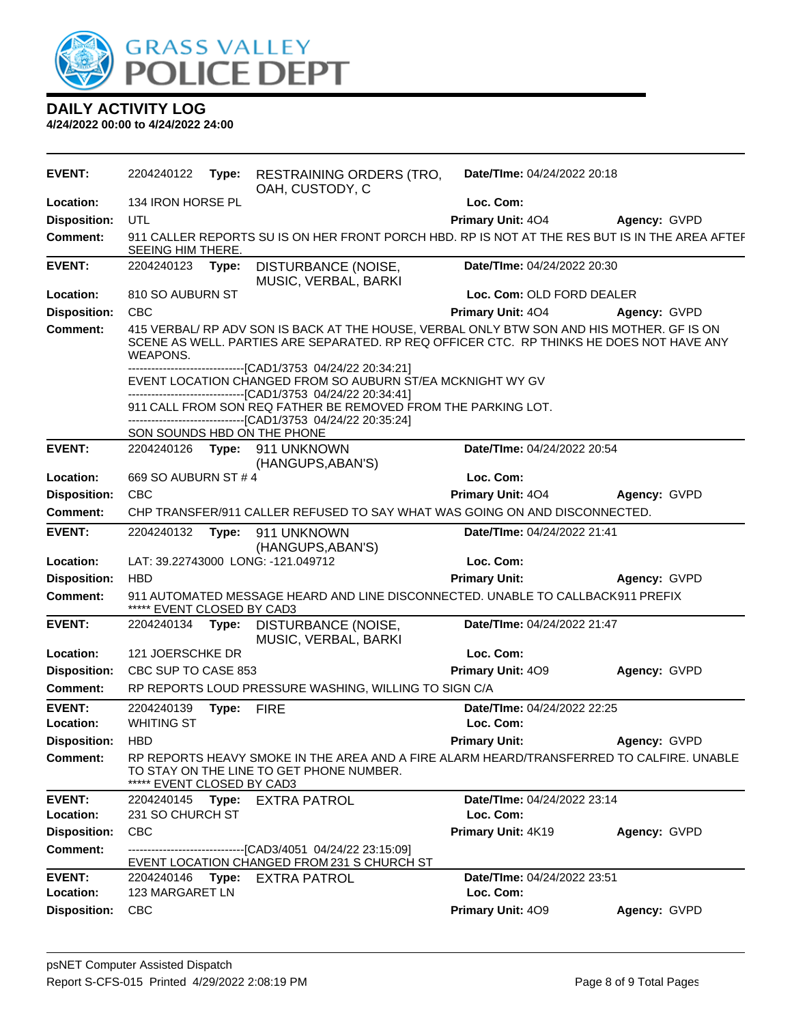

| <b>EVENT:</b>              | 2204240122                                                                                                                                                                                        | Type: | <b>RESTRAINING ORDERS (TRO,</b><br>OAH, CUSTODY, C                                                                                                                          | Date/TIme: 04/24/2022 20:18              |              |
|----------------------------|---------------------------------------------------------------------------------------------------------------------------------------------------------------------------------------------------|-------|-----------------------------------------------------------------------------------------------------------------------------------------------------------------------------|------------------------------------------|--------------|
| Location:                  | 134 IRON HORSE PL                                                                                                                                                                                 |       |                                                                                                                                                                             | Loc. Com:                                |              |
| <b>Disposition:</b>        | UTL                                                                                                                                                                                               |       |                                                                                                                                                                             | Primary Unit: 404                        | Agency: GVPD |
| <b>Comment:</b>            | SEEING HIM THERE.                                                                                                                                                                                 |       | 911 CALLER REPORTS SU IS ON HER FRONT PORCH HBD. RP IS NOT AT THE RES BUT IS IN THE AREA AFTEF                                                                              |                                          |              |
| <b>EVENT:</b>              | 2204240123 Type:                                                                                                                                                                                  |       | DISTURBANCE (NOISE,<br>MUSIC, VERBAL, BARKI                                                                                                                                 | Date/TIme: 04/24/2022 20:30              |              |
| Location:                  | 810 SO AUBURN ST                                                                                                                                                                                  |       |                                                                                                                                                                             | Loc. Com: OLD FORD DEALER                |              |
| <b>Disposition:</b>        | <b>CBC</b>                                                                                                                                                                                        |       |                                                                                                                                                                             | Primary Unit: 404                        | Agency: GVPD |
| <b>Comment:</b>            | 415 VERBAL/ RP ADV SON IS BACK AT THE HOUSE, VERBAL ONLY BTW SON AND HIS MOTHER. GF IS ON<br>SCENE AS WELL. PARTIES ARE SEPARATED. RP REQ OFFICER CTC. RP THINKS HE DOES NOT HAVE ANY<br>WEAPONS. |       |                                                                                                                                                                             |                                          |              |
|                            |                                                                                                                                                                                                   |       | ----------------[CAD1/3753 04/24/22 20:34:21]<br>EVENT LOCATION CHANGED FROM SO AUBURN ST/EA MCKNIGHT WY GV<br>-------------------------------[CAD1/3753_04/24/22_20:34:41] |                                          |              |
|                            |                                                                                                                                                                                                   |       | 911 CALL FROM SON REQ FATHER BE REMOVED FROM THE PARKING LOT.<br>-------------------------------[CAD1/3753 04/24/22 20:35:24]<br>SON SOUNDS HBD ON THE PHONE                |                                          |              |
| <b>EVENT:</b>              |                                                                                                                                                                                                   |       | 2204240126    Type: 911    UNKNOWN                                                                                                                                          | Date/TIme: 04/24/2022 20:54              |              |
|                            |                                                                                                                                                                                                   |       | (HANGUPS, ABAN'S)                                                                                                                                                           |                                          |              |
| Location:                  | 669 SO AUBURN ST # 4                                                                                                                                                                              |       |                                                                                                                                                                             | Loc. Com:                                |              |
| <b>Disposition:</b>        | <b>CBC</b>                                                                                                                                                                                        |       |                                                                                                                                                                             | Primary Unit: 404                        | Agency: GVPD |
| <b>Comment:</b>            |                                                                                                                                                                                                   |       | CHP TRANSFER/911 CALLER REFUSED TO SAY WHAT WAS GOING ON AND DISCONNECTED.                                                                                                  |                                          |              |
| <b>EVENT:</b>              | 2204240132                                                                                                                                                                                        | Type: | 911 UNKNOWN                                                                                                                                                                 | Date/TIme: 04/24/2022 21:41              |              |
|                            |                                                                                                                                                                                                   |       | (HANGUPS, ABAN'S)                                                                                                                                                           |                                          |              |
| Location:                  |                                                                                                                                                                                                   |       | LAT: 39.22743000 LONG: -121.049712                                                                                                                                          | Loc. Com:                                |              |
| <b>Disposition:</b>        | <b>HBD</b>                                                                                                                                                                                        |       |                                                                                                                                                                             | <b>Primary Unit:</b>                     | Agency: GVPD |
| <b>Comment:</b>            | ***** EVENT CLOSED BY CAD3                                                                                                                                                                        |       | 911 AUTOMATED MESSAGE HEARD AND LINE DISCONNECTED. UNABLE TO CALLBACK911 PREFIX                                                                                             |                                          |              |
| <b>EVENT:</b>              |                                                                                                                                                                                                   |       | 2204240134 Type: DISTURBANCE (NOISE,<br>MUSIC, VERBAL, BARKI                                                                                                                | Date/TIme: 04/24/2022 21:47              |              |
| Location:                  | 121 JOERSCHKE DR                                                                                                                                                                                  |       |                                                                                                                                                                             | Loc. Com:                                |              |
| <b>Disposition:</b>        | CBC SUP TO CASE 853                                                                                                                                                                               |       |                                                                                                                                                                             | Primary Unit: 409                        | Agency: GVPD |
| <b>Comment:</b>            |                                                                                                                                                                                                   |       | RP REPORTS LOUD PRESSURE WASHING, WILLING TO SIGN C/A                                                                                                                       |                                          |              |
| <b>EVENT:</b><br>Location: | 2204240139<br><b>WHITING ST</b>                                                                                                                                                                   | Type: | <b>FIRE</b>                                                                                                                                                                 | Date/TIme: 04/24/2022 22:25<br>Loc. Com: |              |
| <b>Disposition:</b>        | <b>HBD</b>                                                                                                                                                                                        |       |                                                                                                                                                                             | <b>Primary Unit:</b>                     | Agency: GVPD |
| Comment:                   | ***** EVENT CLOSED BY CAD3                                                                                                                                                                        |       | RP REPORTS HEAVY SMOKE IN THE AREA AND A FIRE ALARM HEARD/TRANSFERRED TO CALFIRE. UNABLE<br>TO STAY ON THE LINE TO GET PHONE NUMBER.                                        |                                          |              |
| <b>EVENT:</b><br>Location: | 2204240145 Type:<br>231 SO CHURCH ST                                                                                                                                                              |       | EXTRA PATROL                                                                                                                                                                | Date/TIme: 04/24/2022 23:14<br>Loc. Com: |              |
| <b>Disposition:</b>        | <b>CBC</b>                                                                                                                                                                                        |       |                                                                                                                                                                             | Primary Unit: 4K19                       | Agency: GVPD |
| <b>Comment:</b>            |                                                                                                                                                                                                   |       | -------------------------------[CAD3/4051 04/24/22 23:15:09]<br>EVENT LOCATION CHANGED FROM 231 S CHURCH ST                                                                 |                                          |              |
| <b>EVENT:</b>              | 2204240146 Type:                                                                                                                                                                                  |       | <b>EXTRA PATROL</b>                                                                                                                                                         | Date/TIme: 04/24/2022 23:51              |              |
| Location:                  | 123 MARGARET LN                                                                                                                                                                                   |       |                                                                                                                                                                             | Loc. Com:                                |              |
| <b>Disposition:</b>        | <b>CBC</b>                                                                                                                                                                                        |       |                                                                                                                                                                             | Primary Unit: 409                        | Agency: GVPD |